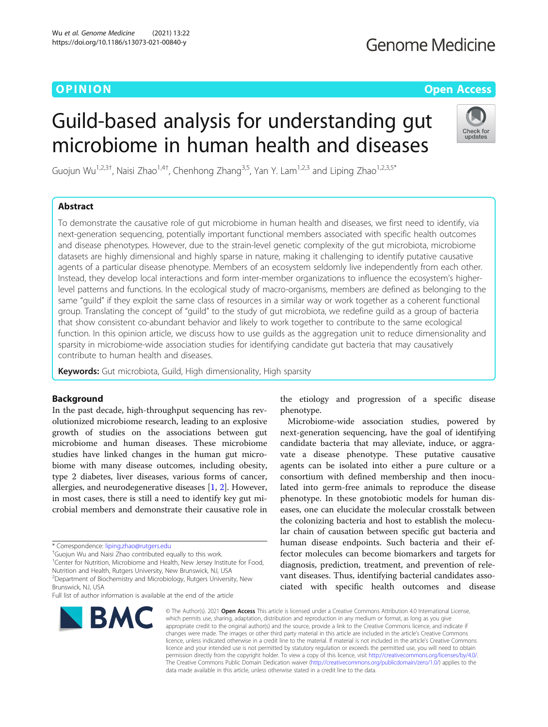# **OPINION OPINION OPINION**

# Guild-based analysis for understanding gut microbiome in human health and diseases



Guojun Wu<sup>1,2,3†</sup>, Naisi Zhao<sup>1,4†</sup>, Chenhong Zhang<sup>3,5</sup>, Yan Y. Lam<sup>1,2,3</sup> and Liping Zhao<sup>1,2,3,5\*</sup>

# Abstract

To demonstrate the causative role of gut microbiome in human health and diseases, we first need to identify, via next-generation sequencing, potentially important functional members associated with specific health outcomes and disease phenotypes. However, due to the strain-level genetic complexity of the gut microbiota, microbiome datasets are highly dimensional and highly sparse in nature, making it challenging to identify putative causative agents of a particular disease phenotype. Members of an ecosystem seldomly live independently from each other. Instead, they develop local interactions and form inter-member organizations to influence the ecosystem's higherlevel patterns and functions. In the ecological study of macro-organisms, members are defined as belonging to the same "guild" if they exploit the same class of resources in a similar way or work together as a coherent functional group. Translating the concept of "guild" to the study of gut microbiota, we redefine guild as a group of bacteria that show consistent co-abundant behavior and likely to work together to contribute to the same ecological function. In this opinion article, we discuss how to use guilds as the aggregation unit to reduce dimensionality and sparsity in microbiome-wide association studies for identifying candidate gut bacteria that may causatively contribute to human health and diseases.

Keywords: Gut microbiota, Guild, High dimensionality, High sparsity

# Background

In the past decade, high-throughput sequencing has revolutionized microbiome research, leading to an explosive growth of studies on the associations between gut microbiome and human diseases. These microbiome studies have linked changes in the human gut microbiome with many disease outcomes, including obesity, type 2 diabetes, liver diseases, various forms of cancer, allergies, and neurodegenerative diseases [[1,](#page-9-0) [2\]](#page-9-0). However, in most cases, there is still a need to identify key gut microbial members and demonstrate their causative role in

<sup>1</sup>Center for Nutrition, Microbiome and Health, New Jersey Institute for Food, Nutrition and Health, Rutgers University, New Brunswick, NJ, USA <sup>2</sup> Department of Biochemistry and Microbiology, Rutgers University, New

**BMC** 

the etiology and progression of a specific disease phenotype.

Microbiome-wide association studies, powered by next-generation sequencing, have the goal of identifying candidate bacteria that may alleviate, induce, or aggravate a disease phenotype. These putative causative agents can be isolated into either a pure culture or a consortium with defined membership and then inoculated into germ-free animals to reproduce the disease phenotype. In these gnotobiotic models for human diseases, one can elucidate the molecular crosstalk between the colonizing bacteria and host to establish the molecular chain of causation between specific gut bacteria and human disease endpoints. Such bacteria and their effector molecules can become biomarkers and targets for diagnosis, prediction, treatment, and prevention of relevant diseases. Thus, identifying bacterial candidates associated with specific health outcomes and disease

© The Author(s), 2021 **Open Access** This article is licensed under a Creative Commons Attribution 4.0 International License, which permits use, sharing, adaptation, distribution and reproduction in any medium or format, as long as you give appropriate credit to the original author(s) and the source, provide a link to the Creative Commons licence, and indicate if changes were made. The images or other third party material in this article are included in the article's Creative Commons licence, unless indicated otherwise in a credit line to the material. If material is not included in the article's Creative Commons licence and your intended use is not permitted by statutory regulation or exceeds the permitted use, you will need to obtain permission directly from the copyright holder. To view a copy of this licence, visit [http://creativecommons.org/licenses/by/4.0/.](http://creativecommons.org/licenses/by/4.0/) The Creative Commons Public Domain Dedication waiver [\(http://creativecommons.org/publicdomain/zero/1.0/](http://creativecommons.org/publicdomain/zero/1.0/)) applies to the data made available in this article, unless otherwise stated in a credit line to the data.

<sup>\*</sup> Correspondence: [liping.zhao@rutgers.edu](mailto:liping.zhao@rutgers.edu) †

<sup>&</sup>lt;sup>†</sup>Guojun Wu and Naisi Zhao contributed equally to this work.

Brunswick, NJ, USA Full list of author information is available at the end of the article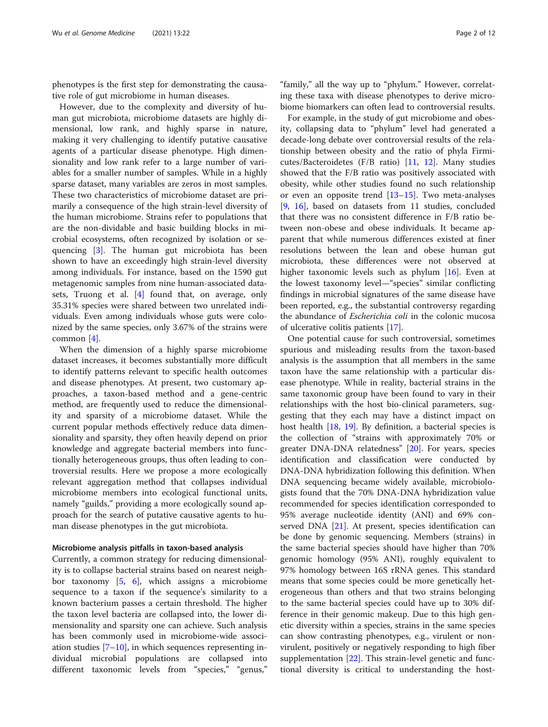phenotypes is the first step for demonstrating the causative role of gut microbiome in human diseases.

However, due to the complexity and diversity of human gut microbiota, microbiome datasets are highly dimensional, low rank, and highly sparse in nature, making it very challenging to identify putative causative agents of a particular disease phenotype. High dimensionality and low rank refer to a large number of variables for a smaller number of samples. While in a highly sparse dataset, many variables are zeros in most samples. These two characteristics of microbiome dataset are primarily a consequence of the high strain-level diversity of the human microbiome. Strains refer to populations that are the non-dividable and basic building blocks in microbial ecosystems, often recognized by isolation or sequencing [\[3](#page-10-0)]. The human gut microbiota has been shown to have an exceedingly high strain-level diversity among individuals. For instance, based on the 1590 gut metagenomic samples from nine human-associated datasets, Truong et al. [\[4\]](#page-10-0) found that, on average, only 35.31% species were shared between two unrelated individuals. Even among individuals whose guts were colonized by the same species, only 3.67% of the strains were common [\[4](#page-10-0)].

When the dimension of a highly sparse microbiome dataset increases, it becomes substantially more difficult to identify patterns relevant to specific health outcomes and disease phenotypes. At present, two customary approaches, a taxon-based method and a gene-centric method, are frequently used to reduce the dimensionality and sparsity of a microbiome dataset. While the current popular methods effectively reduce data dimensionality and sparsity, they often heavily depend on prior knowledge and aggregate bacterial members into functionally heterogeneous groups, thus often leading to controversial results. Here we propose a more ecologically relevant aggregation method that collapses individual microbiome members into ecological functional units, namely "guilds," providing a more ecologically sound approach for the search of putative causative agents to human disease phenotypes in the gut microbiota.

### Microbiome analysis pitfalls in taxon-based analysis

Currently, a common strategy for reducing dimensionality is to collapse bacterial strains based on nearest neighbor taxonomy [\[5](#page-10-0), [6\]](#page-10-0), which assigns a microbiome sequence to a taxon if the sequence's similarity to a known bacterium passes a certain threshold. The higher the taxon level bacteria are collapsed into, the lower dimensionality and sparsity one can achieve. Such analysis has been commonly used in microbiome-wide association studies  $[7-10]$  $[7-10]$  $[7-10]$  $[7-10]$ , in which sequences representing individual microbial populations are collapsed into different taxonomic levels from "species," "genus,"

"family," all the way up to "phylum." However, correlating these taxa with disease phenotypes to derive microbiome biomarkers can often lead to controversial results.

For example, in the study of gut microbiome and obesity, collapsing data to "phylum" level had generated a decade-long debate over controversial results of the relationship between obesity and the ratio of phyla Firmicutes/Bacteroidetes (F/B ratio) [\[11](#page-10-0), [12\]](#page-10-0). Many studies showed that the F/B ratio was positively associated with obesity, while other studies found no such relationship or even an opposite trend [[13](#page-10-0)–[15](#page-10-0)]. Two meta-analyses [[9,](#page-10-0) [16\]](#page-10-0), based on datasets from 11 studies, concluded that there was no consistent difference in F/B ratio between non-obese and obese individuals. It became apparent that while numerous differences existed at finer resolutions between the lean and obese human gut microbiota, these differences were not observed at higher taxonomic levels such as phylum [\[16](#page-10-0)]. Even at the lowest taxonomy level—"species" similar conflicting findings in microbial signatures of the same disease have been reported, e.g., the substantial controversy regarding the abundance of *Escherichia coli* in the colonic mucosa of ulcerative colitis patients [\[17](#page-10-0)].

One potential cause for such controversial, sometimes spurious and misleading results from the taxon-based analysis is the assumption that all members in the same taxon have the same relationship with a particular disease phenotype. While in reality, bacterial strains in the same taxonomic group have been found to vary in their relationships with the host bio-clinical parameters, suggesting that they each may have a distinct impact on host health [\[18](#page-10-0), [19](#page-10-0)]. By definition, a bacterial species is the collection of "strains with approximately 70% or greater DNA-DNA relatedness" [\[20\]](#page-10-0). For years, species identification and classification were conducted by DNA-DNA hybridization following this definition. When DNA sequencing became widely available, microbiologists found that the 70% DNA-DNA hybridization value recommended for species identification corresponded to 95% average nucleotide identity (ANI) and 69% conserved DNA [[21\]](#page-10-0). At present, species identification can be done by genomic sequencing. Members (strains) in the same bacterial species should have higher than 70% genomic homology (95% ANI), roughly equivalent to 97% homology between 16S rRNA genes. This standard means that some species could be more genetically heterogeneous than others and that two strains belonging to the same bacterial species could have up to 30% difference in their genomic makeup. Due to this high genetic diversity within a species, strains in the same species can show contrasting phenotypes, e.g., virulent or nonvirulent, positively or negatively responding to high fiber supplementation [\[22](#page-10-0)]. This strain-level genetic and functional diversity is critical to understanding the host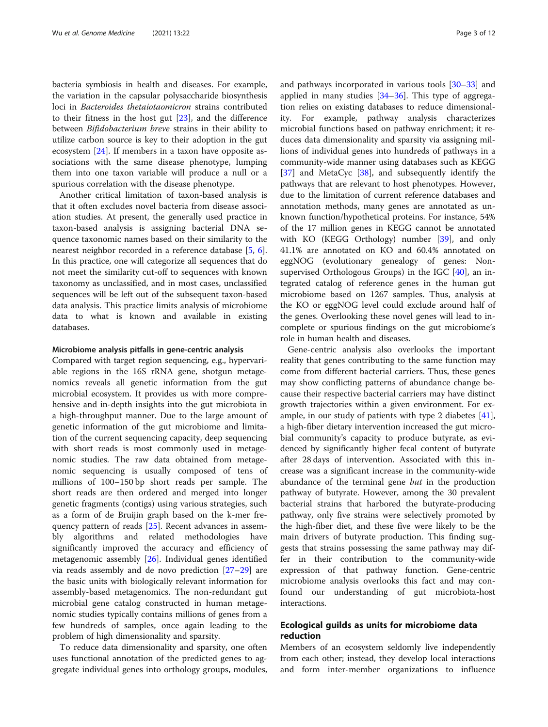bacteria symbiosis in health and diseases. For example, the variation in the capsular polysaccharide biosynthesis loci in Bacteroides thetaiotaomicron strains contributed to their fitness in the host gut  $[23]$  $[23]$  $[23]$ , and the difference between Bifidobacterium breve strains in their ability to utilize carbon source is key to their adoption in the gut ecosystem [[24\]](#page-10-0). If members in a taxon have opposite associations with the same disease phenotype, lumping them into one taxon variable will produce a null or a spurious correlation with the disease phenotype.

Another critical limitation of taxon-based analysis is that it often excludes novel bacteria from disease association studies. At present, the generally used practice in taxon-based analysis is assigning bacterial DNA sequence taxonomic names based on their similarity to the nearest neighbor recorded in a reference database [[5,](#page-10-0) [6](#page-10-0)]. In this practice, one will categorize all sequences that do not meet the similarity cut-off to sequences with known taxonomy as unclassified, and in most cases, unclassified sequences will be left out of the subsequent taxon-based data analysis. This practice limits analysis of microbiome data to what is known and available in existing databases.

### Microbiome analysis pitfalls in gene-centric analysis

Compared with target region sequencing, e.g., hypervariable regions in the 16S rRNA gene, shotgun metagenomics reveals all genetic information from the gut microbial ecosystem. It provides us with more comprehensive and in-depth insights into the gut microbiota in a high-throughput manner. Due to the large amount of genetic information of the gut microbiome and limitation of the current sequencing capacity, deep sequencing with short reads is most commonly used in metagenomic studies. The raw data obtained from metagenomic sequencing is usually composed of tens of millions of 100–150 bp short reads per sample. The short reads are then ordered and merged into longer genetic fragments (contigs) using various strategies, such as a form of de Bruijin graph based on the k-mer frequency pattern of reads [\[25](#page-10-0)]. Recent advances in assembly algorithms and related methodologies have significantly improved the accuracy and efficiency of metagenomic assembly [\[26\]](#page-10-0). Individual genes identified via reads assembly and de novo prediction [\[27](#page-10-0)–[29\]](#page-10-0) are the basic units with biologically relevant information for assembly-based metagenomics. The non-redundant gut microbial gene catalog constructed in human metagenomic studies typically contains millions of genes from a few hundreds of samples, once again leading to the problem of high dimensionality and sparsity.

To reduce data dimensionality and sparsity, one often uses functional annotation of the predicted genes to aggregate individual genes into orthology groups, modules, and pathways incorporated in various tools [\[30](#page-10-0)–[33\]](#page-10-0) and applied in many studies  $[34-36]$  $[34-36]$  $[34-36]$  $[34-36]$  $[34-36]$ . This type of aggregation relies on existing databases to reduce dimensionality. For example, pathway analysis characterizes microbial functions based on pathway enrichment; it reduces data dimensionality and sparsity via assigning millions of individual genes into hundreds of pathways in a community-wide manner using databases such as KEGG [[37\]](#page-10-0) and MetaCyc [\[38](#page-10-0)], and subsequently identify the pathways that are relevant to host phenotypes. However, due to the limitation of current reference databases and annotation methods, many genes are annotated as unknown function/hypothetical proteins. For instance, 54% of the 17 million genes in KEGG cannot be annotated with KO (KEGG Orthology) number [\[39](#page-10-0)], and only 41.1% are annotated on KO and 60.4% annotated on eggNOG (evolutionary genealogy of genes: Nonsupervised Orthologous Groups) in the IGC [\[40\]](#page-10-0), an integrated catalog of reference genes in the human gut microbiome based on 1267 samples. Thus, analysis at the KO or eggNOG level could exclude around half of the genes. Overlooking these novel genes will lead to incomplete or spurious findings on the gut microbiome's role in human health and diseases.

Gene-centric analysis also overlooks the important reality that genes contributing to the same function may come from different bacterial carriers. Thus, these genes may show conflicting patterns of abundance change because their respective bacterial carriers may have distinct growth trajectories within a given environment. For example, in our study of patients with type 2 diabetes [\[41](#page-10-0)], a high-fiber dietary intervention increased the gut microbial community's capacity to produce butyrate, as evidenced by significantly higher fecal content of butyrate after 28 days of intervention. Associated with this increase was a significant increase in the community-wide abundance of the terminal gene but in the production pathway of butyrate. However, among the 30 prevalent bacterial strains that harbored the butyrate-producing pathway, only five strains were selectively promoted by the high-fiber diet, and these five were likely to be the main drivers of butyrate production. This finding suggests that strains possessing the same pathway may differ in their contribution to the community-wide expression of that pathway function. Gene-centric microbiome analysis overlooks this fact and may confound our understanding of gut microbiota-host interactions.

# Ecological guilds as units for microbiome data reduction

Members of an ecosystem seldomly live independently from each other; instead, they develop local interactions and form inter-member organizations to influence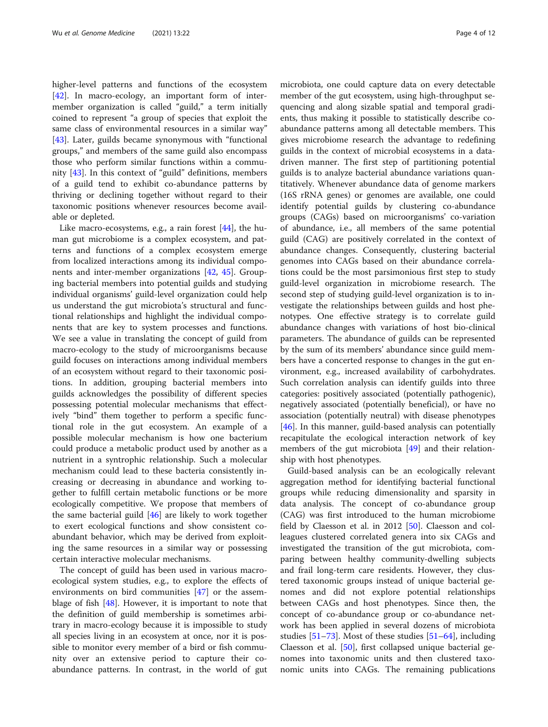higher-level patterns and functions of the ecosystem [[42\]](#page-10-0). In macro-ecology, an important form of intermember organization is called "guild," a term initially coined to represent "a group of species that exploit the same class of environmental resources in a similar way" [[43\]](#page-10-0). Later, guilds became synonymous with "functional" groups," and members of the same guild also encompass those who perform similar functions within a community [[43\]](#page-10-0). In this context of "guild" definitions, members of a guild tend to exhibit co-abundance patterns by thriving or declining together without regard to their taxonomic positions whenever resources become available or depleted.

Like macro-ecosystems, e.g., a rain forest [[44](#page-10-0)], the human gut microbiome is a complex ecosystem, and patterns and functions of a complex ecosystem emerge from localized interactions among its individual components and inter-member organizations [[42,](#page-10-0) [45\]](#page-10-0). Grouping bacterial members into potential guilds and studying individual organisms' guild-level organization could help us understand the gut microbiota's structural and functional relationships and highlight the individual components that are key to system processes and functions. We see a value in translating the concept of guild from macro-ecology to the study of microorganisms because guild focuses on interactions among individual members of an ecosystem without regard to their taxonomic positions. In addition, grouping bacterial members into guilds acknowledges the possibility of different species possessing potential molecular mechanisms that effectively "bind" them together to perform a specific functional role in the gut ecosystem. An example of a possible molecular mechanism is how one bacterium could produce a metabolic product used by another as a nutrient in a syntrophic relationship. Such a molecular mechanism could lead to these bacteria consistently increasing or decreasing in abundance and working together to fulfill certain metabolic functions or be more ecologically competitive. We propose that members of the same bacterial guild [[46\]](#page-10-0) are likely to work together to exert ecological functions and show consistent coabundant behavior, which may be derived from exploiting the same resources in a similar way or possessing certain interactive molecular mechanisms.

The concept of guild has been used in various macroecological system studies, e.g., to explore the effects of environments on bird communities [\[47\]](#page-10-0) or the assemblage of fish  $[48]$  $[48]$ . However, it is important to note that the definition of guild membership is sometimes arbitrary in macro-ecology because it is impossible to study all species living in an ecosystem at once, nor it is possible to monitor every member of a bird or fish community over an extensive period to capture their coabundance patterns. In contrast, in the world of gut

microbiota, one could capture data on every detectable member of the gut ecosystem, using high-throughput sequencing and along sizable spatial and temporal gradients, thus making it possible to statistically describe coabundance patterns among all detectable members. This gives microbiome research the advantage to redefining guilds in the context of microbial ecosystems in a datadriven manner. The first step of partitioning potential guilds is to analyze bacterial abundance variations quantitatively. Whenever abundance data of genome markers (16S rRNA genes) or genomes are available, one could identify potential guilds by clustering co-abundance groups (CAGs) based on microorganisms' co-variation of abundance, i.e., all members of the same potential guild (CAG) are positively correlated in the context of abundance changes. Consequently, clustering bacterial genomes into CAGs based on their abundance correlations could be the most parsimonious first step to study guild-level organization in microbiome research. The second step of studying guild-level organization is to investigate the relationships between guilds and host phenotypes. One effective strategy is to correlate guild abundance changes with variations of host bio-clinical parameters. The abundance of guilds can be represented by the sum of its members' abundance since guild members have a concerted response to changes in the gut environment, e.g., increased availability of carbohydrates. Such correlation analysis can identify guilds into three categories: positively associated (potentially pathogenic), negatively associated (potentially beneficial), or have no association (potentially neutral) with disease phenotypes [[46\]](#page-10-0). In this manner, guild-based analysis can potentially recapitulate the ecological interaction network of key members of the gut microbiota [\[49](#page-10-0)] and their relationship with host phenotypes.

Guild-based analysis can be an ecologically relevant aggregation method for identifying bacterial functional groups while reducing dimensionality and sparsity in data analysis. The concept of co-abundance group (CAG) was first introduced to the human microbiome field by Claesson et al. in 2012 [\[50](#page-10-0)]. Claesson and colleagues clustered correlated genera into six CAGs and investigated the transition of the gut microbiota, comparing between healthy community-dwelling subjects and frail long-term care residents. However, they clustered taxonomic groups instead of unique bacterial genomes and did not explore potential relationships between CAGs and host phenotypes. Since then, the concept of co-abundance group or co-abundance network has been applied in several dozens of microbiota studies [\[51](#page-10-0)–[73\]](#page-11-0). Most of these studies [[51](#page-10-0)–[64](#page-11-0)], including Claesson et al. [\[50](#page-10-0)], first collapsed unique bacterial genomes into taxonomic units and then clustered taxonomic units into CAGs. The remaining publications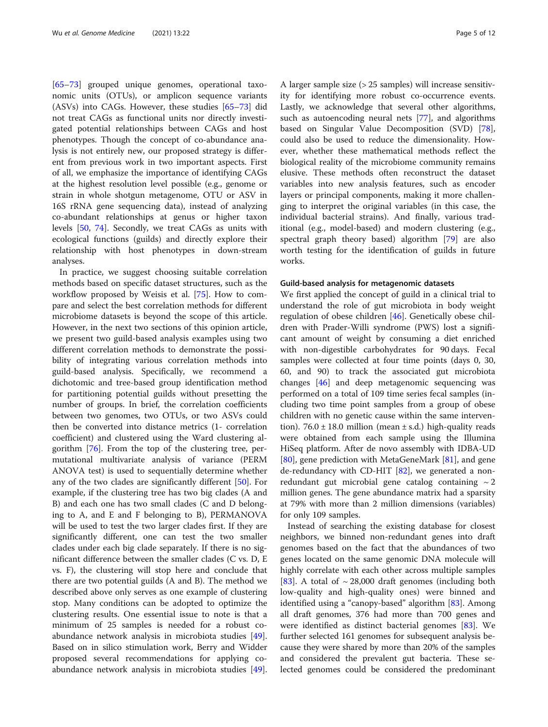[[65](#page-11-0)–[73](#page-11-0)] grouped unique genomes, operational taxonomic units (OTUs), or amplicon sequence variants (ASVs) into CAGs. However, these studies [[65](#page-11-0)–[73](#page-11-0)] did not treat CAGs as functional units nor directly investigated potential relationships between CAGs and host phenotypes. Though the concept of co-abundance analysis is not entirely new, our proposed strategy is different from previous work in two important aspects. First of all, we emphasize the importance of identifying CAGs at the highest resolution level possible (e.g., genome or strain in whole shotgun metagenome, OTU or ASV in 16S rRNA gene sequencing data), instead of analyzing co-abundant relationships at genus or higher taxon levels [[50](#page-10-0), [74](#page-11-0)]. Secondly, we treat CAGs as units with ecological functions (guilds) and directly explore their relationship with host phenotypes in down-stream analyses.

In practice, we suggest choosing suitable correlation methods based on specific dataset structures, such as the workflow proposed by Weisis et al. [[75\]](#page-11-0). How to compare and select the best correlation methods for different microbiome datasets is beyond the scope of this article. However, in the next two sections of this opinion article, we present two guild-based analysis examples using two different correlation methods to demonstrate the possibility of integrating various correlation methods into guild-based analysis. Specifically, we recommend a dichotomic and tree-based group identification method for partitioning potential guilds without presetting the number of groups. In brief, the correlation coefficients between two genomes, two OTUs, or two ASVs could then be converted into distance metrics (1- correlation coefficient) and clustered using the Ward clustering algorithm [[76\]](#page-11-0). From the top of the clustering tree, permutational multivariate analysis of variance (PERM ANOVA test) is used to sequentially determine whether any of the two clades are significantly different [\[50\]](#page-10-0). For example, if the clustering tree has two big clades (A and B) and each one has two small clades (C and D belonging to A, and E and F belonging to B), PERMANOVA will be used to test the two larger clades first. If they are significantly different, one can test the two smaller clades under each big clade separately. If there is no significant difference between the smaller clades (C vs. D, E vs. F), the clustering will stop here and conclude that there are two potential guilds (A and B). The method we described above only serves as one example of clustering stop. Many conditions can be adopted to optimize the clustering results. One essential issue to note is that a minimum of 25 samples is needed for a robust coabundance network analysis in microbiota studies [\[49](#page-10-0)]. Based on in silico stimulation work, Berry and Widder proposed several recommendations for applying coabundance network analysis in microbiota studies [\[49](#page-10-0)].

A larger sample size (> 25 samples) will increase sensitivity for identifying more robust co-occurrence events. Lastly, we acknowledge that several other algorithms, such as autoencoding neural nets [[77\]](#page-11-0), and algorithms based on Singular Value Decomposition (SVD) [\[78](#page-11-0)], could also be used to reduce the dimensionality. However, whether these mathematical methods reflect the biological reality of the microbiome community remains elusive. These methods often reconstruct the dataset variables into new analysis features, such as encoder layers or principal components, making it more challenging to interpret the original variables (in this case, the individual bacterial strains). And finally, various traditional (e.g., model-based) and modern clustering (e.g., spectral graph theory based) algorithm [\[79\]](#page-11-0) are also worth testing for the identification of guilds in future works.

#### Guild-based analysis for metagenomic datasets

We first applied the concept of guild in a clinical trial to understand the role of gut microbiota in body weight regulation of obese children [[46\]](#page-10-0). Genetically obese children with Prader-Willi syndrome (PWS) lost a significant amount of weight by consuming a diet enriched with non-digestible carbohydrates for 90 days. Fecal samples were collected at four time points (days 0, 30, 60, and 90) to track the associated gut microbiota changes [\[46](#page-10-0)] and deep metagenomic sequencing was performed on a total of 109 time series fecal samples (including two time point samples from a group of obese children with no genetic cause within the same intervention). 76.0  $\pm$  18.0 million (mean  $\pm$  s.d.) high-quality reads were obtained from each sample using the Illumina HiSeq platform. After de novo assembly with IDBA-UD [[80\]](#page-11-0), gene prediction with MetaGeneMark [[81\]](#page-11-0), and gene de-redundancy with CD-HIT [\[82\]](#page-11-0), we generated a nonredundant gut microbial gene catalog containing  $\sim 2$ million genes. The gene abundance matrix had a sparsity at 79% with more than 2 million dimensions (variables) for only 109 samples.

Instead of searching the existing database for closest neighbors, we binned non-redundant genes into draft genomes based on the fact that the abundances of two genes located on the same genomic DNA molecule will highly correlate with each other across multiple samples [[83\]](#page-11-0). A total of  $\sim$  28,000 draft genomes (including both low-quality and high-quality ones) were binned and identified using a "canopy-based" algorithm [[83\]](#page-11-0). Among all draft genomes, 376 had more than 700 genes and were identified as distinct bacterial genomes [\[83](#page-11-0)]. We further selected 161 genomes for subsequent analysis because they were shared by more than 20% of the samples and considered the prevalent gut bacteria. These selected genomes could be considered the predominant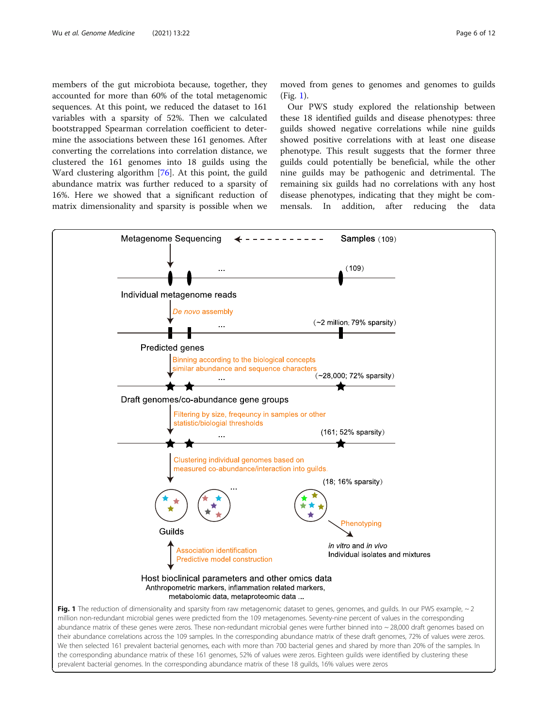members of the gut microbiota because, together, they accounted for more than 60% of the total metagenomic sequences. At this point, we reduced the dataset to 161 variables with a sparsity of 52%. Then we calculated bootstrapped Spearman correlation coefficient to determine the associations between these 161 genomes. After converting the correlations into correlation distance, we clustered the 161 genomes into 18 guilds using the Ward clustering algorithm [\[76](#page-11-0)]. At this point, the guild abundance matrix was further reduced to a sparsity of 16%. Here we showed that a significant reduction of matrix dimensionality and sparsity is possible when we moved from genes to genomes and genomes to guilds (Fig. 1).

Our PWS study explored the relationship between these 18 identified guilds and disease phenotypes: three guilds showed negative correlations while nine guilds showed positive correlations with at least one disease phenotype. This result suggests that the former three guilds could potentially be beneficial, while the other nine guilds may be pathogenic and detrimental. The remaining six guilds had no correlations with any host disease phenotypes, indicating that they might be commensals. In addition, after reducing the data



abundance matrix of these genes were zeros. These non-redundant microbial genes were further binned into ~28,000 draft genomes based on their abundance correlations across the 109 samples. In the corresponding abundance matrix of these draft genomes, 72% of values were zeros. We then selected 161 prevalent bacterial genomes, each with more than 700 bacterial genes and shared by more than 20% of the samples. In the corresponding abundance matrix of these 161 genomes, 52% of values were zeros. Eighteen guilds were identified by clustering these prevalent bacterial genomes. In the corresponding abundance matrix of these 18 guilds, 16% values were zeros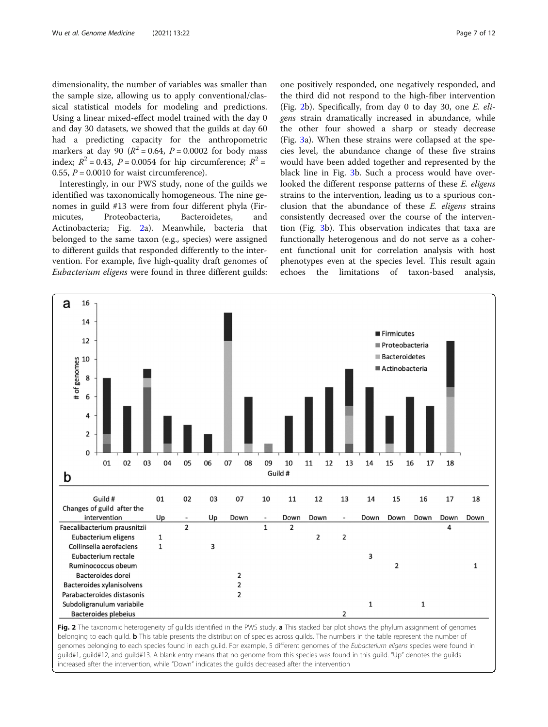dimensionality, the number of variables was smaller than the sample size, allowing us to apply conventional/classical statistical models for modeling and predictions. Using a linear mixed-effect model trained with the day 0 and day 30 datasets, we showed that the guilds at day 60 had a predicting capacity for the anthropometric markers at day 90 ( $R^2$  = 0.64,  $P$  = 0.0002 for body mass index;  $R^2 = 0.43$ ,  $P = 0.0054$  for hip circumference;  $R^2 =$ 0.55,  $P = 0.0010$  for waist circumference).

Interestingly, in our PWS study, none of the guilds we identified was taxonomically homogeneous. The nine genomes in guild #13 were from four different phyla (Firmicutes, Proteobacteria, Bacteroidetes, and Actinobacteria; Fig. 2a). Meanwhile, bacteria that belonged to the same taxon (e.g., species) were assigned to different guilds that responded differently to the intervention. For example, five high-quality draft genomes of Eubacterium eligens were found in three different guilds:

one positively responded, one negatively responded, and the third did not respond to the high-fiber intervention (Fig. 2b). Specifically, from day 0 to day 30, one E. eligens strain dramatically increased in abundance, while the other four showed a sharp or steady decrease (Fig. [3](#page-7-0)a). When these strains were collapsed at the species level, the abundance change of these five strains would have been added together and represented by the black line in Fig. [3b](#page-7-0). Such a process would have overlooked the different response patterns of these E. eligens strains to the intervention, leading us to a spurious conclusion that the abundance of these  $E$ . eligens strains consistently decreased over the course of the intervention (Fig. [3](#page-7-0)b). This observation indicates that taxa are functionally heterogenous and do not serve as a coherent functional unit for correlation analysis with host phenotypes even at the species level. This result again echoes the limitations of taxon-based analysis,



Fig. 2 The taxonomic heterogeneity of guilds identified in the PWS study. a This stacked bar plot shows the phylum assignment of genomes belonging to each guild. **b** This table presents the distribution of species across guilds. The numbers in the table represent the number of genomes belonging to each species found in each guild. For example, 5 different genomes of the Eubacterium eligens species were found in guild#1, guild#12, and guild#13. A blank entry means that no genome from this species was found in this guild. "Up" denotes the guilds increased after the intervention, while "Down" indicates the guilds decreased after the intervention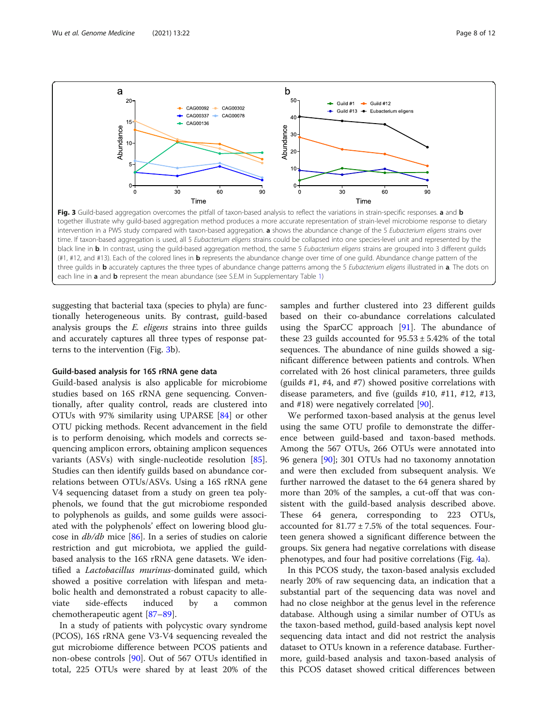<span id="page-7-0"></span>

each line in a and b represent the mean abundance (see S.E.M in Supplementary Table [1\)](#page-9-0)

suggesting that bacterial taxa (species to phyla) are functionally heterogeneous units. By contrast, guild-based analysis groups the E. eligens strains into three guilds and accurately captures all three types of response patterns to the intervention (Fig. 3b).

# Guild-based analysis for 16S rRNA gene data

Guild-based analysis is also applicable for microbiome studies based on 16S rRNA gene sequencing. Conventionally, after quality control, reads are clustered into OTUs with 97% similarity using UPARSE [\[84\]](#page-11-0) or other OTU picking methods. Recent advancement in the field is to perform denoising, which models and corrects sequencing amplicon errors, obtaining amplicon sequences variants (ASVs) with single-nucleotide resolution [\[85](#page-11-0)]. Studies can then identify guilds based on abundance correlations between OTUs/ASVs. Using a 16S rRNA gene V4 sequencing dataset from a study on green tea polyphenols, we found that the gut microbiome responded to polyphenols as guilds, and some guilds were associated with the polyphenols' effect on lowering blood glucose in db/db mice [[86\]](#page-11-0). In a series of studies on calorie restriction and gut microbiota, we applied the guildbased analysis to the 16S rRNA gene datasets. We identified a Lactobacillus murinus-dominated guild, which showed a positive correlation with lifespan and metabolic health and demonstrated a robust capacity to alleviate side-effects induced by a common chemotherapeutic agent [\[87](#page-11-0)–[89\]](#page-11-0).

In a study of patients with polycystic ovary syndrome (PCOS), 16S rRNA gene V3-V4 sequencing revealed the gut microbiome difference between PCOS patients and non-obese controls [[90\]](#page-11-0). Out of 567 OTUs identified in total, 225 OTUs were shared by at least 20% of the samples and further clustered into 23 different guilds based on their co-abundance correlations calculated using the SparCC approach [[91](#page-11-0)]. The abundance of these 23 guilds accounted for  $95.53 \pm 5.42\%$  of the total sequences. The abundance of nine guilds showed a significant difference between patients and controls. When correlated with 26 host clinical parameters, three guilds (guilds #1, #4, and #7) showed positive correlations with disease parameters, and five (guilds #10, #11, #12, #13, and #18) were negatively correlated [\[90](#page-11-0)].

We performed taxon-based analysis at the genus level using the same OTU profile to demonstrate the difference between guild-based and taxon-based methods. Among the 567 OTUs, 266 OTUs were annotated into 96 genera [[90\]](#page-11-0); 301 OTUs had no taxonomy annotation and were then excluded from subsequent analysis. We further narrowed the dataset to the 64 genera shared by more than 20% of the samples, a cut-off that was consistent with the guild-based analysis described above. These 64 genera, corresponding to 223 OTUs, accounted for  $81.77 \pm 7.5\%$  of the total sequences. Fourteen genera showed a significant difference between the groups. Six genera had negative correlations with disease phenotypes, and four had positive correlations (Fig. [4a](#page-8-0)).

In this PCOS study, the taxon-based analysis excluded nearly 20% of raw sequencing data, an indication that a substantial part of the sequencing data was novel and had no close neighbor at the genus level in the reference database. Although using a similar number of OTUs as the taxon-based method, guild-based analysis kept novel sequencing data intact and did not restrict the analysis dataset to OTUs known in a reference database. Furthermore, guild-based analysis and taxon-based analysis of this PCOS dataset showed critical differences between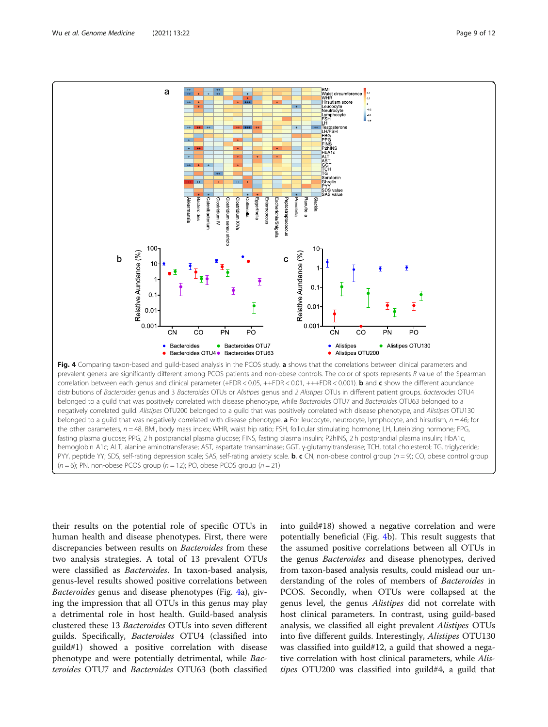<span id="page-8-0"></span>

belonged to a guild that was positively correlated with disease phenotype, while Bacteroides OTU7 and Bacteroides OTU63 belonged to a negatively correlated guild. Alistipes OTU200 belonged to a guild that was positively correlated with disease phenotype, and Alistipes OTU130 belonged to a guild that was negatively correlated with disease phenotype. **a** For leucocyte, neutrocyte, lymphocyte, and hirsutism,  $n = 46$ ; for the other parameters,  $n = 48$ . BMI, body mass index; WHR, waist hip ratio; FSH, follicular stimulating hormone; LH, luteinizing hormone; FPG, fasting plasma glucose; PPG, 2 h postprandial plasma glucose; FINS, fasting plasma insulin; P2hINS, 2 h postprandial plasma insulin; HbA1c, hemoglobin A1c; ALT, alanine aminotransferase; AST, aspartate transaminase; GGT, γ-glutamyltransferase; TCH, total cholesterol; TG, triglyceride; PYY, peptide YY; SDS, self-rating depression scale; SAS, self-rating anxiety scale.  $\mathbf{b}, \mathbf{c}$  CN, non-obese control group (n = 9); CO, obese control group  $(n = 6)$ ; PN, non-obese PCOS group ( $n = 12$ ); PO, obese PCOS group ( $n = 21$ )

their results on the potential role of specific OTUs in human health and disease phenotypes. First, there were discrepancies between results on Bacteroides from these two analysis strategies. A total of 13 prevalent OTUs were classified as Bacteroides. In taxon-based analysis, genus-level results showed positive correlations between Bacteroides genus and disease phenotypes (Fig. 4a), giving the impression that all OTUs in this genus may play a detrimental role in host health. Guild-based analysis clustered these 13 Bacteroides OTUs into seven different guilds. Specifically, Bacteroides OTU4 (classified into guild#1) showed a positive correlation with disease phenotype and were potentially detrimental, while Bacteroides OTU7 and Bacteroides OTU63 (both classified

into guild#18) showed a negative correlation and were potentially beneficial (Fig. 4b). This result suggests that the assumed positive correlations between all OTUs in the genus Bacteroides and disease phenotypes, derived from taxon-based analysis results, could mislead our understanding of the roles of members of Bacteroides in PCOS. Secondly, when OTUs were collapsed at the genus level, the genus Alistipes did not correlate with host clinical parameters. In contrast, using guild-based analysis, we classified all eight prevalent Alistipes OTUs into five different guilds. Interestingly, Alistipes OTU130 was classified into guild#12, a guild that showed a negative correlation with host clinical parameters, while Alistipes OTU200 was classified into guild#4, a guild that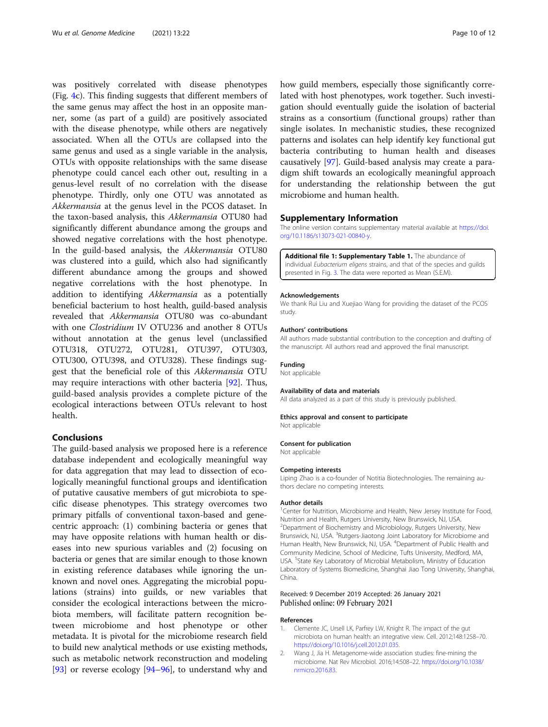<span id="page-9-0"></span>was positively correlated with disease phenotypes (Fig. [4](#page-8-0)c). This finding suggests that different members of the same genus may affect the host in an opposite manner, some (as part of a guild) are positively associated with the disease phenotype, while others are negatively associated. When all the OTUs are collapsed into the same genus and used as a single variable in the analysis, OTUs with opposite relationships with the same disease phenotype could cancel each other out, resulting in a genus-level result of no correlation with the disease phenotype. Thirdly, only one OTU was annotated as Akkermansia at the genus level in the PCOS dataset. In the taxon-based analysis, this Akkermansia OTU80 had significantly different abundance among the groups and showed negative correlations with the host phenotype. In the guild-based analysis, the Akkermansia OTU80 was clustered into a guild, which also had significantly different abundance among the groups and showed negative correlations with the host phenotype. In addition to identifying Akkermansia as a potentially beneficial bacterium to host health, guild-based analysis revealed that Akkermansia OTU80 was co-abundant with one Clostridium IV OTU236 and another 8 OTUs without annotation at the genus level (unclassified OTU318, OTU272, OTU281, OTU397, OTU303, OTU300, OTU398, and OTU328). These findings suggest that the beneficial role of this Akkermansia OTU may require interactions with other bacteria [[92](#page-11-0)]. Thus, guild-based analysis provides a complete picture of the ecological interactions between OTUs relevant to host health.

# Conclusions

The guild-based analysis we proposed here is a reference database independent and ecologically meaningful way for data aggregation that may lead to dissection of ecologically meaningful functional groups and identification of putative causative members of gut microbiota to specific disease phenotypes. This strategy overcomes two primary pitfalls of conventional taxon-based and genecentric approach: (1) combining bacteria or genes that may have opposite relations with human health or diseases into new spurious variables and (2) focusing on bacteria or genes that are similar enough to those known in existing reference databases while ignoring the unknown and novel ones. Aggregating the microbial populations (strains) into guilds, or new variables that consider the ecological interactions between the microbiota members, will facilitate pattern recognition between microbiome and host phenotype or other metadata. It is pivotal for the microbiome research field to build new analytical methods or use existing methods, such as metabolic network reconstruction and modeling  $[93]$  $[93]$  or reverse ecology  $[94-96]$  $[94-96]$  $[94-96]$ , to understand why and how guild members, especially those significantly correlated with host phenotypes, work together. Such investigation should eventually guide the isolation of bacterial strains as a consortium (functional groups) rather than single isolates. In mechanistic studies, these recognized patterns and isolates can help identify key functional gut bacteria contributing to human health and diseases causatively [\[97\]](#page-11-0). Guild-based analysis may create a paradigm shift towards an ecologically meaningful approach for understanding the relationship between the gut microbiome and human health.

#### Supplementary Information

The online version contains supplementary material available at [https://doi.](https://doi.org/10.1186/s13073-021-00840-y) [org/10.1186/s13073-021-00840-y](https://doi.org/10.1186/s13073-021-00840-y).

Additional file 1: Supplementary Table 1. The abundance of individual *Fubacterium eligens* strains, and that of the species and quilds presented in Fig. 3. The data were reported as Mean (S.E.M).

#### Acknowledgements

We thank Rui Liu and Xuejiao Wang for providing the dataset of the PCOS study.

#### Authors' contributions

All authors made substantial contribution to the conception and drafting of the manuscript. All authors read and approved the final manuscript.

#### Funding

Not applicable

#### Availability of data and materials

All data analyzed as a part of this study is previously published.

#### Ethics approval and consent to participate

Not applicable

#### Consent for publication

Not applicable

#### Competing interests

Liping Zhao is a co-founder of Notitia Biotechnologies. The remaining authors declare no competing interests.

#### Author details

<sup>1</sup> Center for Nutrition, Microbiome and Health, New Jersey Institute for Food Nutrition and Health, Rutgers University, New Brunswick, NJ, USA. <sup>2</sup>Department of Biochemistry and Microbiology, Rutgers University, New Brunswick, NJ, USA. <sup>3</sup>Rutgers-Jiaotong Joint Laboratory for Microbiome and Human Health, New Brunswick, NJ, USA. <sup>4</sup>Department of Public Health and Community Medicine, School of Medicine, Tufts University, Medford, MA, USA. <sup>5</sup>State Key Laboratory of Microbial Metabolism, Ministry of Education Laboratory of Systems Biomedicine, Shanghai Jiao Tong University, Shanghai, China.

#### Received: 9 December 2019 Accepted: 26 January 2021 Published online: 09 February 2021

#### References

- 1. Clemente JC, Ursell LK, Parfrey LW, Knight R. The impact of the gut microbiota on human health: an integrative view. Cell. 2012;148:1258–70. <https://doi.org/10.1016/j.cell.2012.01.035>.
- 2. Wang J, Jia H. Metagenome-wide association studies: fine-mining the microbiome. Nat Rev Microbiol. 2016;14:508–22. [https://doi.org/10.1038/](https://doi.org/10.1038/nrmicro.2016.83) [nrmicro.2016.83.](https://doi.org/10.1038/nrmicro.2016.83)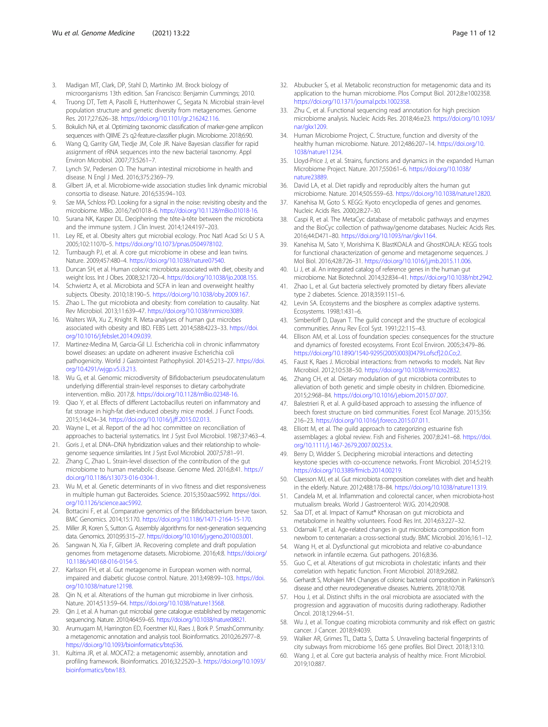- <span id="page-10-0"></span>3. Madigan MT, Clark, DP, Stahl D, Martinko JM. Brock biology of microorganisms 13th edition. San Francisco: Benjamin Cummings; 2010.
- 4. Truong DT, Tett A, Pasolli E, Huttenhower C, Segata N. Microbial strain-level population structure and genetic diversity from metagenomes. Genome Res. 2017;27:626–38. [https://doi.org/10.1101/gr.216242.116.](https://doi.org/10.1101/gr.216242.116)
- 5. Bokulich NA, et al. Optimizing taxonomic classification of marker-gene amplicon sequences with QIIME 2's q2-feature-classifier plugin. Microbiome. 2018;6:90.
- 6. Wang Q, Garrity GM, Tiedje JM, Cole JR. Naive Bayesian classifier for rapid assignment of rRNA sequences into the new bacterial taxonomy. Appl Environ Microbiol. 2007;73:5261–7.
- 7. Lynch SV, Pedersen O. The human intestinal microbiome in health and disease. N Engl J Med. 2016;375:2369–79.
- 8. Gilbert JA, et al. Microbiome-wide association studies link dynamic microbial consortia to disease. Nature. 2016;535:94–103.
- 9. Sze MA, Schloss PD. Looking for a signal in the noise: revisiting obesity and the microbiome. MBio. 2016;7:e01018–6. [https://doi.org/10.1128/mBio.01018-16.](https://doi.org/10.1128/mBio.01018-16)
- 10. Surana NK, Kasper DL. Deciphering the tête-à-tête between the microbiota and the immune system. J Clin Invest. 2014;124:4197–203.
- 11. Ley RE, et al. Obesity alters gut microbial ecology. Proc Natl Acad Sci U S A. 2005;102:11070–5. <https://doi.org/10.1073/pnas.0504978102>.
- 12. Turnbaugh PJ, et al. A core gut microbiome in obese and lean twins. Nature. 2009;457:480–4. <https://doi.org/10.1038/nature07540>.
- 13. Duncan SH, et al. Human colonic microbiota associated with diet, obesity and weight loss. Int J Obes. 2008;32:1720–4. [https://doi.org/10.1038/ijo.2008.155.](https://doi.org/10.1038/ijo.2008.155)
- Schwiertz A, et al. Microbiota and SCFA in lean and overweight healthy subjects. Obesity. 2010;18:190–5. <https://doi.org/10.1038/oby.2009.167>.
- 15. Zhao L. The gut microbiota and obesity: from correlation to causality. Nat Rev Microbiol. 2013;11:639–47. [https://doi.org/10.1038/nrmicro3089.](https://doi.org/10.1038/nrmicro3089)
- 16. Walters WA, Xu Z, Knight R. Meta-analyses of human gut microbes associated with obesity and IBD. FEBS Lett. 2014;588:4223–33. [https://doi.](https://doi.org/10.1016/j.febslet.2014.09.039) [org/10.1016/j.febslet.2014.09.039.](https://doi.org/10.1016/j.febslet.2014.09.039)
- 17. Martinez-Medina M, Garcia-Gil LJ. Escherichia coli in chronic inflammatory bowel diseases: an update on adherent invasive Escherichia coli pathogenicity. World J Gastrointest Pathophysiol. 2014;5:213–27. [https://doi.](https://doi.org/10.4291/wjgp.v5.i3.213) [org/10.4291/wjgp.v5.i3.213.](https://doi.org/10.4291/wjgp.v5.i3.213)
- 18. Wu G, et al. Genomic microdiversity of Bifidobacterium pseudocatenulatum underlying differential strain-level responses to dietary carbohydrate intervention. mBio. 2017;8. <https://doi.org/10.1128/mBio.02348-16>.
- 19. Qiao Y, et al. Effects of different Lactobacillus reuteri on inflammatory and fat storage in high-fat diet-induced obesity mice model. J Funct Foods. 2015;14:424–34. [https://doi.org/10.1016/j.jff.2015.02.013.](https://doi.org/10.1016/j.jff.2015.02.013)
- 20. Wayne L, et al. Report of the ad hoc committee on reconciliation of approaches to bacterial systematics. Int J Syst Evol Microbiol. 1987;37:463–4.
- 21. Goris J, et al. DNA–DNA hybridization values and their relationship to wholegenome sequence similarities. Int J Syst Evol Microbiol. 2007;57:81–91.
- 22. Zhang C, Zhao L. Strain-level dissection of the contribution of the gut microbiome to human metabolic disease. Genome Med. 2016;8:41. [https://](https://doi.org/10.1186/s13073-016-0304-1) [doi.org/10.1186/s13073-016-0304-1](https://doi.org/10.1186/s13073-016-0304-1).
- 23. Wu M, et al. Genetic determinants of in vivo fitness and diet responsiveness in multiple human gut Bacteroides. Science. 2015;350:aac5992. [https://doi.](https://doi.org/10.1126/science.aac5992) [org/10.1126/science.aac5992](https://doi.org/10.1126/science.aac5992).
- 24. Bottacini F, et al. Comparative genomics of the Bifidobacterium breve taxon. BMC Genomics. 2014;15:170. [https://doi.org/10.1186/1471-2164-15-170.](https://doi.org/10.1186/1471-2164-15-170)
- Miller JR, Koren S, Sutton G. Assembly algorithms for next-generation sequencing data. Genomics. 2010;95:315–27. [https://doi.org/10.1016/j.ygeno.2010.03.001.](https://doi.org/10.1016/j.ygeno.2010.03.001)
- 26. Sangwan N, Xia F, Gilbert JA. Recovering complete and draft population genomes from metagenome datasets. Microbiome. 2016;4:8. [https://doi.org/](https://doi.org/10.1186/s40168-016-0154-5) [10.1186/s40168-016-0154-5.](https://doi.org/10.1186/s40168-016-0154-5)
- 27. Karlsson FH, et al. Gut metagenome in European women with normal, impaired and diabetic glucose control. Nature. 2013;498:99–103. [https://doi.](https://doi.org/10.1038/nature12198) [org/10.1038/nature12198](https://doi.org/10.1038/nature12198).
- 28. Qin N, et al. Alterations of the human gut microbiome in liver cirrhosis. Nature. 2014;513:59–64. <https://doi.org/10.1038/nature13568>.
- 29. Qin J, et al. A human gut microbial gene catalogue established by metagenomic sequencing. Nature. 2010;464:59–65. <https://doi.org/10.1038/nature08821>.
- 30. Arumugam M, Harrington ED, Foerstner KU, Raes J, Bork P. SmashCommunity: a metagenomic annotation and analysis tool. Bioinformatics. 2010;26:2977–8. [https://doi.org/10.1093/bioinformatics/btq536.](https://doi.org/10.1093/bioinformatics/btq536)
- 31. Kultima JR, et al. MOCAT2: a metagenomic assembly, annotation and profiling framework. Bioinformatics. 2016;32:2520–3. [https://doi.org/10.1093/](https://doi.org/10.1093/bioinformatics/btw183) [bioinformatics/btw183.](https://doi.org/10.1093/bioinformatics/btw183)
- 32. Abubucker S, et al. Metabolic reconstruction for metagenomic data and its application to the human microbiome. Plos Comput Biol. 2012;8:e1002358. <https://doi.org/10.1371/journal.pcbi.1002358>.
- 33. Zhu C, et al. Functional sequencing read annotation for high precision microbiome analysis. Nucleic Acids Res. 2018;46:e23. [https://doi.org/10.1093/](https://doi.org/10.1093/nar/gkx1209) [nar/gkx1209.](https://doi.org/10.1093/nar/gkx1209)
- Human Microbiome Project, C. Structure, function and diversity of the healthy human microbiome. Nature. 2012;486:207–14. [https://doi.org/10.](https://doi.org/10.1038/nature11234) [1038/nature11234](https://doi.org/10.1038/nature11234).
- 35. Lloyd-Price J, et al. Strains, functions and dynamics in the expanded Human Microbiome Project. Nature. 2017;550:61–6. [https://doi.org/10.1038/](https://doi.org/10.1038/nature23889) [nature23889](https://doi.org/10.1038/nature23889).
- 36. David LA, et al. Diet rapidly and reproducibly alters the human gut microbiome. Nature. 2014;505:559–63. [https://doi.org/10.1038/nature12820.](https://doi.org/10.1038/nature12820)
- 37. Kanehisa M, Goto S. KEGG: Kyoto encyclopedia of genes and genomes. Nucleic Acids Res. 2000;28:27–30.
- 38. Caspi R, et al. The MetaCyc database of metabolic pathways and enzymes and the BioCyc collection of pathway/genome databases. Nucleic Acids Res. 2016;44:D471–80. <https://doi.org/10.1093/nar/gkv1164>.
- 39. Kanehisa M, Sato Y, Morishima K. BlastKOALA and GhostKOALA: KEGG tools for functional characterization of genome and metagenome sequences. J Mol Biol. 2016;428:726–31. [https://doi.org/10.1016/j.jmb.2015.11.006.](https://doi.org/10.1016/j.jmb.2015.11.006)
- 40. Li J, et al. An integrated catalog of reference genes in the human gut microbiome. Nat Biotechnol. 2014;32:834–41. [https://doi.org/10.1038/nbt.2942.](https://doi.org/10.1038/nbt.2942)
- 41. Zhao L, et al. Gut bacteria selectively promoted by dietary fibers alleviate type 2 diabetes. Science. 2018;359:1151–6.
- 42. Levin SA. Ecosystems and the biosphere as complex adaptive systems. Ecosystems. 1998;1:431–6.
- 43. Simberloff D, Dayan T. The guild concept and the structure of ecological communities. Annu Rev Ecol Syst. 1991;22:115–43.
- 44. Ellison AM, et al. Loss of foundation species: consequences for the structure and dynamics of forested ecosystems. Front Ecol Environ. 2005;3:479–86. [https://doi.org/10.1890/1540-9295\(2005\)003\[0479:Lofscf\]2.0.Co;2](https://doi.org/10.1890/1540-9295(2005)003[0479:Lofscf]2.0.Co;2).
- 45. Faust K, Raes J. Microbial interactions: from networks to models. Nat Rev Microbiol. 2012;10:538–50. <https://doi.org/10.1038/nrmicro2832>.
- 46. Zhang CH, et al. Dietary modulation of gut microbiota contributes to alleviation of both genetic and simple obesity in children. Ebiomedicine. 2015;2:968–84. [https://doi.org/10.1016/j.ebiom.2015.07.007.](https://doi.org/10.1016/j.ebiom.2015.07.007)
- 47. Balestrieri R, et al. A guild-based approach to assessing the influence of beech forest structure on bird communities. Forest Ecol Manage. 2015;356: 216–23. [https://doi.org/10.1016/j.foreco.2015.07.011.](https://doi.org/10.1016/j.foreco.2015.07.011)
- 48. Elliott M, et al. The guild approach to categorizing estuarine fish assemblages: a global review. Fish and Fisheries. 2007;8:241–68. [https://doi.](https://doi.org/10.1111/j.1467-2679.2007.00253.x) [org/10.1111/j.1467-2679.2007.00253.x](https://doi.org/10.1111/j.1467-2679.2007.00253.x).
- 49. Berry D, Widder S. Deciphering microbial interactions and detecting keystone species with co-occurrence networks. Front Microbiol. 2014;5:219. <https://doi.org/10.3389/fmicb.2014.00219>.
- Claesson MJ, et al. Gut microbiota composition correlates with diet and health in the elderly. Nature. 2012;488:178–84. <https://doi.org/10.1038/nature11319>.
- 51. Candela M, et al. Inflammation and colorectal cancer, when microbiota-host mutualism breaks. World J Gastroenterol: WJG. 2014;20:908.
- 52. Saa DT, et al. Impact of Kamut® Khorasan on gut microbiota and metabolome in healthy volunteers. Food Res Int. 2014;63:227–32.
- 53. Odamaki T, et al. Age-related changes in gut microbiota composition from newborn to centenarian: a cross-sectional study. BMC Microbiol. 2016;16:1–12.
- 54. Wang H, et al. Dysfunctional gut microbiota and relative co-abundance network in infantile eczema. Gut pathogens. 2016;8:36.
- 55. Guo C, et al. Alterations of gut microbiota in cholestatic infants and their correlation with hepatic function. Front Microbiol. 2018;9:2682.
- 56. Gerhardt S, Mohajeri MH. Changes of colonic bacterial composition in Parkinson's disease and other neurodegenerative diseases. Nutrients. 2018;10:708.
- 57. Hou J, et al. Distinct shifts in the oral microbiota are associated with the progression and aggravation of mucositis during radiotherapy. Radiother Oncol. 2018;129:44–51.
- 58. Wu J, et al. Tongue coating microbiota community and risk effect on gastric cancer. J Cancer. 2018;9:4039.
- 59. Walker AR, Grimes TL, Datta S, Datta S. Unraveling bacterial fingerprints of city subways from microbiome 16S gene profiles. Biol Direct. 2018;13:10.
- 60. Wang J, et al. Core gut bacteria analysis of healthy mice. Front Microbiol. 2019;10:887.